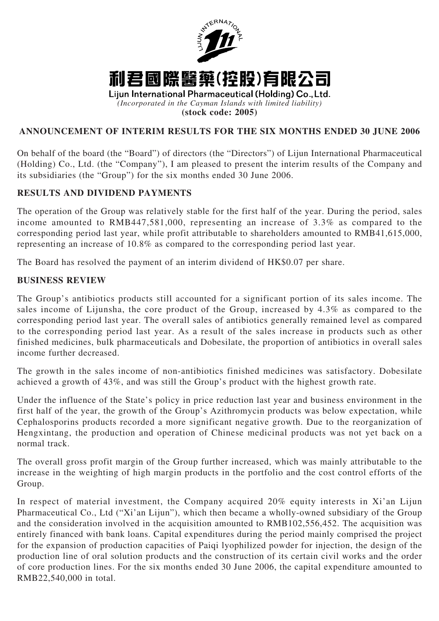

**(stock code: 2005)**

# **ANNOUNCEMENT OF INTERIM RESULTS FOR THE SIX MONTHS ENDED 30 JUNE 2006**

On behalf of the board (the "Board") of directors (the "Directors") of Lijun International Pharmaceutical (Holding) Co., Ltd. (the "Company"), I am pleased to present the interim results of the Company and its subsidiaries (the "Group") for the six months ended 30 June 2006.

## **RESULTS AND DIVIDEND PAYMENTS**

The operation of the Group was relatively stable for the first half of the year. During the period, sales income amounted to RMB447,581,000, representing an increase of 3.3% as compared to the corresponding period last year, while profit attributable to shareholders amounted to RMB41,615,000, representing an increase of 10.8% as compared to the corresponding period last year.

The Board has resolved the payment of an interim dividend of HK\$0.07 per share.

## **BUSINESS REVIEW**

The Group's antibiotics products still accounted for a significant portion of its sales income. The sales income of Lijunsha, the core product of the Group, increased by 4.3% as compared to the corresponding period last year. The overall sales of antibiotics generally remained level as compared to the corresponding period last year. As a result of the sales increase in products such as other finished medicines, bulk pharmaceuticals and Dobesilate, the proportion of antibiotics in overall sales income further decreased.

The growth in the sales income of non-antibiotics finished medicines was satisfactory. Dobesilate achieved a growth of 43%, and was still the Group's product with the highest growth rate.

Under the influence of the State's policy in price reduction last year and business environment in the first half of the year, the growth of the Group's Azithromycin products was below expectation, while Cephalosporins products recorded a more significant negative growth. Due to the reorganization of Hengxintang, the production and operation of Chinese medicinal products was not yet back on a normal track.

The overall gross profit margin of the Group further increased, which was mainly attributable to the increase in the weighting of high margin products in the portfolio and the cost control efforts of the Group.

In respect of material investment, the Company acquired 20% equity interests in Xi'an Lijun Pharmaceutical Co., Ltd ("Xi'an Lijun"), which then became a wholly-owned subsidiary of the Group and the consideration involved in the acquisition amounted to RMB102,556,452. The acquisition was entirely financed with bank loans. Capital expenditures during the period mainly comprised the project for the expansion of production capacities of Paiqi lyophilized powder for injection, the design of the production line of oral solution products and the construction of its certain civil works and the order of core production lines. For the six months ended 30 June 2006, the capital expenditure amounted to RMB22,540,000 in total.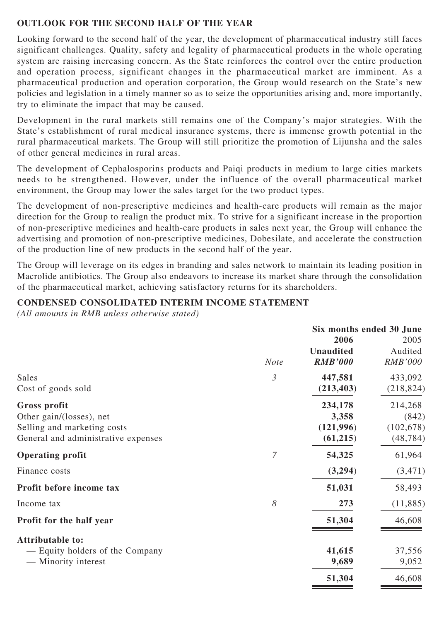# **OUTLOOK FOR THE SECOND HALF OF THE YEAR**

Looking forward to the second half of the year, the development of pharmaceutical industry still faces significant challenges. Quality, safety and legality of pharmaceutical products in the whole operating system are raising increasing concern. As the State reinforces the control over the entire production and operation process, significant changes in the pharmaceutical market are imminent. As a pharmaceutical production and operation corporation, the Group would research on the State's new policies and legislation in a timely manner so as to seize the opportunities arising and, more importantly, try to eliminate the impact that may be caused.

Development in the rural markets still remains one of the Company's major strategies. With the State's establishment of rural medical insurance systems, there is immense growth potential in the rural pharmaceutical markets. The Group will still prioritize the promotion of Lijunsha and the sales of other general medicines in rural areas.

The development of Cephalosporins products and Paiqi products in medium to large cities markets needs to be strengthened. However, under the influence of the overall pharmaceutical market environment, the Group may lower the sales target for the two product types.

The development of non-prescriptive medicines and health-care products will remain as the major direction for the Group to realign the product mix. To strive for a significant increase in the proportion of non-prescriptive medicines and health-care products in sales next year, the Group will enhance the advertising and promotion of non-prescriptive medicines, Dobesilate, and accelerate the construction of the production line of new products in the second half of the year.

The Group will leverage on its edges in branding and sales network to maintain its leading position in Macrolide antibiotics. The Group also endeavors to increase its market share through the consolidation of the pharmaceutical market, achieving satisfactory returns for its shareholders.

# **CONDENSED CONSOLIDATED INTERIM INCOME STATEMENT**

*(All amounts in RMB unless otherwise stated)*

|                                     | Six months ended 30 June |                  |                |
|-------------------------------------|--------------------------|------------------|----------------|
|                                     |                          | 2006             | 2005           |
|                                     |                          | <b>Unaudited</b> | Audited        |
|                                     | <b>Note</b>              | <b>RMB'000</b>   | <b>RMB'000</b> |
| Sales                               | $\mathfrak{Z}$           | 447,581          | 433,092        |
| Cost of goods sold                  |                          | (213, 403)       | (218, 824)     |
| Gross profit                        |                          | 234,178          | 214,268        |
| Other gain/(losses), net            |                          | 3,358            | (842)          |
| Selling and marketing costs         |                          | (121, 996)       | (102, 678)     |
| General and administrative expenses |                          | (61,215)         | (48, 784)      |
| <b>Operating profit</b>             | 7                        | 54,325           | 61,964         |
| Finance costs                       |                          | (3,294)          | (3,471)        |
| Profit before income tax            |                          | 51,031           | 58,493         |
| Income tax                          | 8                        | 273              | (11,885)       |
| Profit for the half year            |                          | 51,304           | 46,608         |
| <b>Attributable to:</b>             |                          |                  |                |
| — Equity holders of the Company     |                          | 41,615           | 37,556         |
| — Minority interest                 |                          | 9,689            | 9,052          |
|                                     |                          | 51,304           | 46,608         |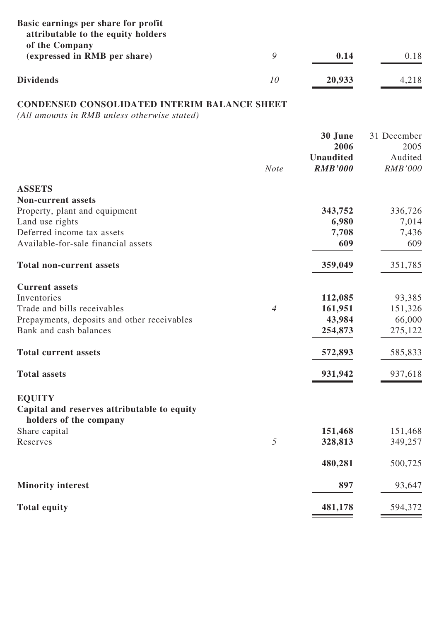| Basic earnings per share for profit<br>attributable to the equity holders<br>of the Company |    |        |       |
|---------------------------------------------------------------------------------------------|----|--------|-------|
| (expressed in RMB per share)                                                                |    | 0.14   | 0.18  |
| <b>Dividends</b>                                                                            | 10 | 20,933 | 4,218 |

# **CONDENSED CONSOLIDATED INTERIM BALANCE SHEET**

*(All amounts in RMB unless otherwise stated)*

|                                             |                | 30 June<br>2006  | 31 December<br>2005 |
|---------------------------------------------|----------------|------------------|---------------------|
|                                             |                | <b>Unaudited</b> | Audited             |
|                                             | <b>Note</b>    | <b>RMB'000</b>   | <b>RMB'000</b>      |
| <b>ASSETS</b>                               |                |                  |                     |
| <b>Non-current assets</b>                   |                |                  |                     |
| Property, plant and equipment               |                | 343,752          | 336,726             |
| Land use rights                             |                | 6,980            | 7,014               |
| Deferred income tax assets                  |                | 7,708            | 7,436               |
| Available-for-sale financial assets         |                | 609              | 609                 |
| <b>Total non-current assets</b>             |                | 359,049          | 351,785             |
| <b>Current assets</b>                       |                |                  |                     |
| Inventories                                 |                | 112,085          | 93,385              |
| Trade and bills receivables                 | $\overline{4}$ | 161,951          | 151,326             |
| Prepayments, deposits and other receivables |                | 43,984           | 66,000              |
| Bank and cash balances                      |                | 254,873          | 275,122             |
| <b>Total current assets</b>                 |                | 572,893          | 585,833             |
| <b>Total assets</b>                         |                | 931,942          | 937,618             |
| <b>EQUITY</b>                               |                |                  |                     |
| Capital and reserves attributable to equity |                |                  |                     |
| holders of the company                      |                |                  |                     |
| Share capital                               |                | 151,468          | 151,468             |
| Reserves                                    | 5              | 328,813          | 349,257             |
|                                             |                | 480,281          | 500,725             |
| <b>Minority interest</b>                    |                | 897              | 93,647              |
| <b>Total equity</b>                         |                | 481,178          | 594,372             |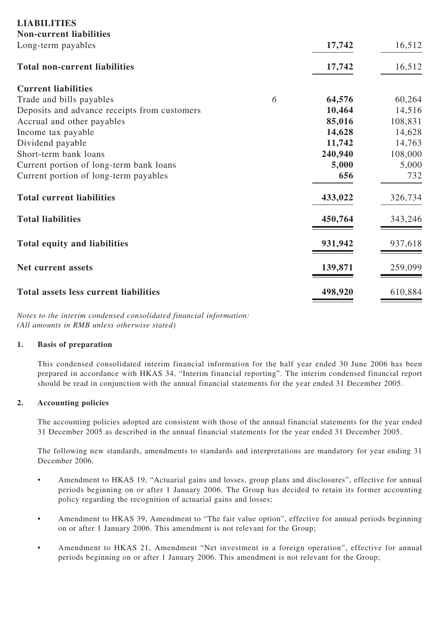| <b>Non-current liabilities</b><br>17,742<br>Long-term payables<br><b>Total non-current liabilities</b><br>17,742<br><b>Current liabilities</b> | 16,512<br>16,512 |
|------------------------------------------------------------------------------------------------------------------------------------------------|------------------|
|                                                                                                                                                |                  |
|                                                                                                                                                |                  |
|                                                                                                                                                |                  |
|                                                                                                                                                |                  |
| 6<br>64,576<br>Trade and bills payables                                                                                                        | 60,264           |
| 10,464<br>Deposits and advance receipts from customers                                                                                         | 14,516           |
| 85,016<br>Accrual and other payables                                                                                                           | 108,831          |
| 14,628<br>Income tax payable                                                                                                                   | 14,628           |
| Dividend payable<br>11,742                                                                                                                     | 14,763           |
| Short-term bank loans<br>240,940                                                                                                               | 108,000          |
| Current portion of long-term bank loans<br>5,000                                                                                               | 5,000            |
| Current portion of long-term payables<br>656                                                                                                   | 732              |
| <b>Total current liabilities</b><br>433,022                                                                                                    | 326,734          |
| <b>Total liabilities</b><br>450,764                                                                                                            | 343,246          |
| 931,942<br><b>Total equity and liabilities</b>                                                                                                 | 937,618          |
| 139,871<br>Net current assets                                                                                                                  | 259,099          |
| <b>Total assets less current liabilities</b><br>498,920                                                                                        | 610,884          |

*Notes to the interim condensed consolidated financial information: (All amounts in RMB unless otherwise stated)*

### **1. Basis of preparation**

This condensed consolidated interim financial information for the half year ended 30 June 2006 has been prepared in accordance with HKAS 34, "Interim financial reporting". The interim condensed financial report should be read in conjunction with the annual financial statements for the year ended 31 December 2005.

### **2. Accounting policies**

The accounting policies adopted are consistent with those of the annual financial statements for the year ended 31 December 2005 as described in the annual financial statements for the year ended 31 December 2005.

The following new standards, amendments to standards and interpretations are mandatory for year ending 31 December 2006.

- Amendment to HKAS 19, "Actuarial gains and losses, group plans and disclosures", effective for annual periods beginning on or after 1 January 2006. The Group has decided to retain its former accounting policy regarding the recognition of actuarial gains and losses;
- Amendment to HKAS 39, Amendment to "The fair value option", effective for annual periods beginning on or after 1 January 2006. This amendment is not relevant for the Group;
- Amendment to HKAS 21, Amendment "Net investment in a foreign operation", effective for annual periods beginning on or after 1 January 2006. This amendment is not relevant for the Group;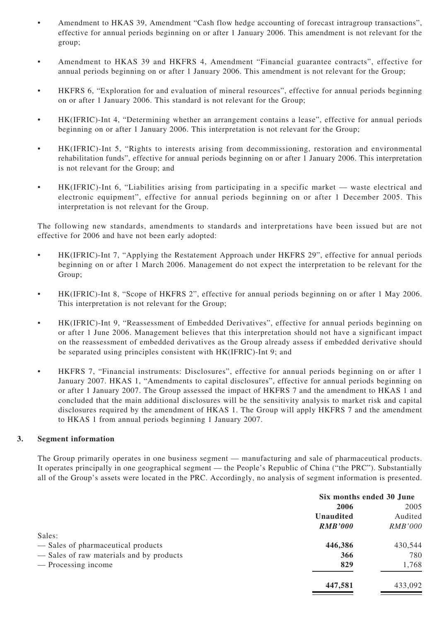- Amendment to HKAS 39, Amendment "Cash flow hedge accounting of forecast intragroup transactions", effective for annual periods beginning on or after 1 January 2006. This amendment is not relevant for the group;
- Amendment to HKAS 39 and HKFRS 4, Amendment "Financial guarantee contracts", effective for annual periods beginning on or after 1 January 2006. This amendment is not relevant for the Group;
- HKFRS 6, "Exploration for and evaluation of mineral resources", effective for annual periods beginning on or after 1 January 2006. This standard is not relevant for the Group;
- HK(IFRIC)-Int 4, "Determining whether an arrangement contains a lease", effective for annual periods beginning on or after 1 January 2006. This interpretation is not relevant for the Group;
- HK(IFRIC)-Int 5, "Rights to interests arising from decommissioning, restoration and environmental rehabilitation funds", effective for annual periods beginning on or after 1 January 2006. This interpretation is not relevant for the Group; and
- HK(IFRIC)-Int 6, "Liabilities arising from participating in a specific market waste electrical and electronic equipment", effective for annual periods beginning on or after 1 December 2005. This interpretation is not relevant for the Group.

The following new standards, amendments to standards and interpretations have been issued but are not effective for 2006 and have not been early adopted:

- HK(IFRIC)-Int 7, "Applying the Restatement Approach under HKFRS 29", effective for annual periods beginning on or after 1 March 2006. Management do not expect the interpretation to be relevant for the Group;
- HK(IFRIC)-Int 8, "Scope of HKFRS 2", effective for annual periods beginning on or after 1 May 2006. This interpretation is not relevant for the Group;
- HK(IFRIC)-Int 9, "Reassessment of Embedded Derivatives", effective for annual periods beginning on or after 1 June 2006. Management believes that this interpretation should not have a significant impact on the reassessment of embedded derivatives as the Group already assess if embedded derivative should be separated using principles consistent with HK(IFRIC)-Int 9; and
- HKFRS 7, "Financial instruments: Disclosures", effective for annual periods beginning on or after 1 January 2007. HKAS 1, "Amendments to capital disclosures", effective for annual periods beginning on or after 1 January 2007. The Group assessed the impact of HKFRS 7 and the amendment to HKAS 1 and concluded that the main additional disclosures will be the sensitivity analysis to market risk and capital disclosures required by the amendment of HKAS 1. The Group will apply HKFRS 7 and the amendment to HKAS 1 from annual periods beginning 1 January 2007.

### **3. Segment information**

The Group primarily operates in one business segment — manufacturing and sale of pharmaceutical products. It operates principally in one geographical segment — the People's Republic of China ("the PRC"). Substantially all of the Group's assets were located in the PRC. Accordingly, no analysis of segment information is presented.

|                                          | Six months ended 30 June |                |  |
|------------------------------------------|--------------------------|----------------|--|
|                                          | 2006                     | 2005           |  |
|                                          | <b>Unaudited</b>         | Audited        |  |
|                                          | <b>RMB'000</b>           | <i>RMB'000</i> |  |
| Sales:                                   |                          |                |  |
| - Sales of pharmaceutical products       | 446,386                  | 430,544        |  |
| - Sales of raw materials and by products | 366                      | 780            |  |
| — Processing income                      | 829                      | 1,768          |  |
|                                          | 447,581                  | 433,092        |  |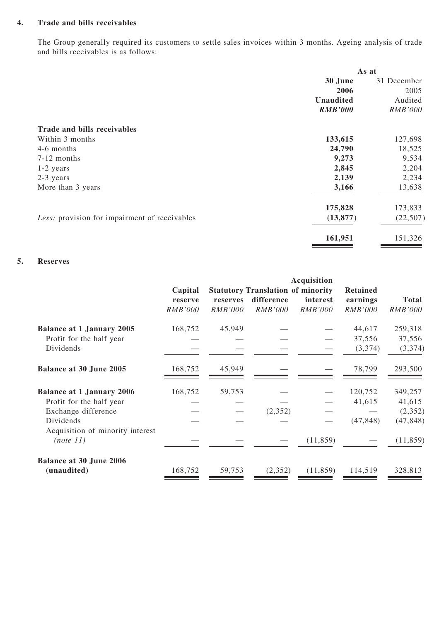### **4. Trade and bills receivables**

The Group generally required its customers to settle sales invoices within 3 months. Ageing analysis of trade and bills receivables is as follows:

|                                               | As at            |                |
|-----------------------------------------------|------------------|----------------|
|                                               | 30 June          | 31 December    |
|                                               | 2006             | 2005           |
|                                               | <b>Unaudited</b> | Audited        |
|                                               | <b>RMB'000</b>   | <i>RMB'000</i> |
| Trade and bills receivables                   |                  |                |
| Within 3 months                               | 133,615          | 127,698        |
| 4-6 months                                    | 24,790           | 18,525         |
| $7-12$ months                                 | 9,273            | 9,534          |
| $1-2$ years                                   | 2,845            | 2,204          |
| 2-3 years                                     | 2,139            | 2,234          |
| More than 3 years                             | 3,166            | 13,638         |
|                                               | 175,828          | 173,833        |
| Less: provision for impairment of receivables | (13, 877)        | (22, 507)      |
|                                               | 161,951          | 151,326        |

### **5. Reserves**

|                                               |                                      |                            |                                                                          | Acquisition                |                                               |                                |
|-----------------------------------------------|--------------------------------------|----------------------------|--------------------------------------------------------------------------|----------------------------|-----------------------------------------------|--------------------------------|
|                                               | Capital<br>reserve<br><b>RMB'000</b> | reserves<br><b>RMB'000</b> | <b>Statutory Translation of minority</b><br>difference<br><b>RMB'000</b> | interest<br><b>RMB'000</b> | <b>Retained</b><br>earnings<br><b>RMB'000</b> | <b>Total</b><br><i>RMB'000</i> |
| <b>Balance at 1 January 2005</b>              | 168,752                              | 45,949                     |                                                                          |                            | 44,617                                        | 259,318                        |
| Profit for the half year                      |                                      |                            |                                                                          |                            | 37,556                                        | 37,556                         |
| Dividends                                     |                                      |                            |                                                                          |                            | (3,374)                                       | (3,374)                        |
| Balance at 30 June 2005                       | 168,752                              | 45,949                     |                                                                          |                            | 78,799                                        | 293,500                        |
| <b>Balance at 1 January 2006</b>              | 168,752                              | 59,753                     |                                                                          |                            | 120,752                                       | 349,257                        |
| Profit for the half year                      |                                      |                            |                                                                          |                            | 41,615                                        | 41,615                         |
| Exchange difference                           |                                      |                            | (2,352)                                                                  |                            |                                               | (2,352)                        |
| Dividends<br>Acquisition of minority interest |                                      |                            |                                                                          |                            | (47, 848)                                     | (47, 848)                      |
| (note 11)                                     |                                      |                            |                                                                          | (11, 859)                  |                                               | (11, 859)                      |
| <b>Balance at 30 June 2006</b>                |                                      |                            |                                                                          |                            |                                               |                                |
| (unaudited)                                   | 168,752                              | 59,753                     | (2, 352)                                                                 | (11, 859)                  | 114,519                                       | 328,813                        |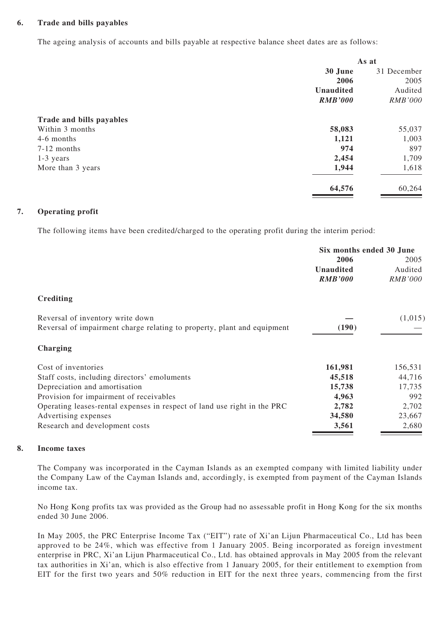### **6. Trade and bills payables**

The ageing analysis of accounts and bills payable at respective balance sheet dates are as follows:

| As at          |                |
|----------------|----------------|
| 30 June        | 31 December    |
| 2006           | 2005           |
| Unaudited      | Audited        |
| <b>RMB'000</b> | <b>RMB'000</b> |
|                |                |
| 58,083         | 55,037         |
| 1,121          | 1,003          |
| 974            | 897            |
| 2,454          | 1,709          |
| 1,944          | 1,618          |
| 64,576         | 60,264         |
|                |                |

### **7. Operating profit**

The following items have been credited/charged to the operating profit during the interim period:

|                                                                          | Six months ended 30 June |                |
|--------------------------------------------------------------------------|--------------------------|----------------|
|                                                                          | 2006                     | 2005           |
|                                                                          | Unaudited                | Audited        |
|                                                                          | <b>RMB'000</b>           | <i>RMB'000</i> |
| Crediting                                                                |                          |                |
| Reversal of inventory write down                                         |                          | (1,015)        |
| Reversal of impairment charge relating to property, plant and equipment  | (190)                    |                |
| Charging                                                                 |                          |                |
| Cost of inventories                                                      | 161,981                  | 156,531        |
| Staff costs, including directors' emoluments                             | 45,518                   | 44,716         |
| Depreciation and amortisation                                            | 15,738                   | 17,735         |
| Provision for impairment of receivables                                  | 4,963                    | 992            |
| Operating leases-rental expenses in respect of land use right in the PRC | 2,782                    | 2,702          |
| Advertising expenses                                                     | 34,580                   | 23,667         |
| Research and development costs                                           | 3,561                    | 2,680          |

### **8. Income taxes**

The Company was incorporated in the Cayman Islands as an exempted company with limited liability under the Company Law of the Cayman Islands and, accordingly, is exempted from payment of the Cayman Islands income tax.

No Hong Kong profits tax was provided as the Group had no assessable profit in Hong Kong for the six months ended 30 June 2006.

In May 2005, the PRC Enterprise Income Tax ("EIT") rate of Xi'an Lijun Pharmaceutical Co., Ltd has been approved to be 24%, which was effective from 1 January 2005. Being incorporated as foreign investment enterprise in PRC, Xi'an Lijun Pharmaceutical Co., Ltd. has obtained approvals in May 2005 from the relevant tax authorities in Xi'an, which is also effective from 1 January 2005, for their entitlement to exemption from EIT for the first two years and 50% reduction in EIT for the next three years, commencing from the first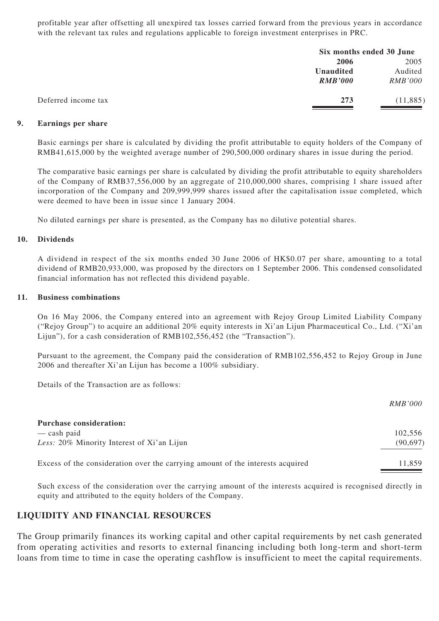profitable year after offsetting all unexpired tax losses carried forward from the previous years in accordance with the relevant tax rules and regulations applicable to foreign investment enterprises in PRC.

|                     |                | Six months ended 30 June |  |
|---------------------|----------------|--------------------------|--|
|                     | 2006           | 2005                     |  |
|                     | Unaudited      | Audited                  |  |
|                     | <b>RMB'000</b> | <i>RMB'000</i>           |  |
| Deferred income tax | 273            | (11, 885)                |  |

### **9. Earnings per share**

Basic earnings per share is calculated by dividing the profit attributable to equity holders of the Company of RMB41,615,000 by the weighted average number of 290,500,000 ordinary shares in issue during the period.

The comparative basic earnings per share is calculated by dividing the profit attributable to equity shareholders of the Company of RMB37,556,000 by an aggregate of 210,000,000 shares, comprising 1 share issued after incorporation of the Company and 209,999,999 shares issued after the capitalisation issue completed, which were deemed to have been in issue since 1 January 2004.

No diluted earnings per share is presented, as the Company has no dilutive potential shares.

#### **10. Dividends**

A dividend in respect of the six months ended 30 June 2006 of HK\$0.07 per share, amounting to a total dividend of RMB20,933,000, was proposed by the directors on 1 September 2006. This condensed consolidated financial information has not reflected this dividend payable.

#### **11. Business combinations**

On 16 May 2006, the Company entered into an agreement with Rejoy Group Limited Liability Company ("Rejoy Group") to acquire an additional 20% equity interests in Xi'an Lijun Pharmaceutical Co., Ltd. ("Xi'an Lijun"), for a cash consideration of RMB102,556,452 (the "Transaction").

Pursuant to the agreement, the Company paid the consideration of RMB102,556,452 to Rejoy Group in June 2006 and thereafter Xi'an Lijun has become a 100% subsidiary.

Details of the Transaction are as follows:

|                                                                                | <i>RMB'000</i> |
|--------------------------------------------------------------------------------|----------------|
| <b>Purchase consideration:</b>                                                 |                |
| $-\cosh$ paid                                                                  | 102,556        |
| Less: 20% Minority Interest of Xi'an Lijun                                     | (90, 697)      |
| Excess of the consideration over the carrying amount of the interests acquired | 11.859         |

Such excess of the consideration over the carrying amount of the interests acquired is recognised directly in equity and attributed to the equity holders of the Company.

### **LIQUIDITY AND FINANCIAL RESOURCES**

The Group primarily finances its working capital and other capital requirements by net cash generated from operating activities and resorts to external financing including both long-term and short-term loans from time to time in case the operating cashflow is insufficient to meet the capital requirements.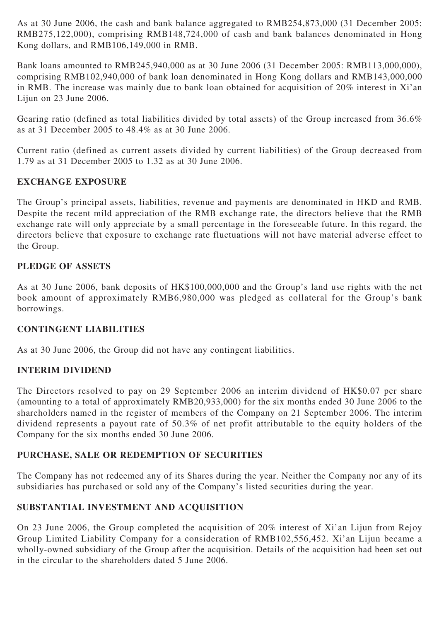As at 30 June 2006, the cash and bank balance aggregated to RMB254,873,000 (31 December 2005: RMB275,122,000), comprising RMB148,724,000 of cash and bank balances denominated in Hong Kong dollars, and RMB106,149,000 in RMB.

Bank loans amounted to RMB245,940,000 as at 30 June 2006 (31 December 2005: RMB113,000,000), comprising RMB102,940,000 of bank loan denominated in Hong Kong dollars and RMB143,000,000 in RMB. The increase was mainly due to bank loan obtained for acquisition of 20% interest in Xi'an Lijun on 23 June 2006.

Gearing ratio (defined as total liabilities divided by total assets) of the Group increased from 36.6% as at 31 December 2005 to 48.4% as at 30 June 2006.

Current ratio (defined as current assets divided by current liabilities) of the Group decreased from 1.79 as at 31 December 2005 to 1.32 as at 30 June 2006.

## **EXCHANGE EXPOSURE**

The Group's principal assets, liabilities, revenue and payments are denominated in HKD and RMB. Despite the recent mild appreciation of the RMB exchange rate, the directors believe that the RMB exchange rate will only appreciate by a small percentage in the foreseeable future. In this regard, the directors believe that exposure to exchange rate fluctuations will not have material adverse effect to the Group.

## **PLEDGE OF ASSETS**

As at 30 June 2006, bank deposits of HK\$100,000,000 and the Group's land use rights with the net book amount of approximately RMB6,980,000 was pledged as collateral for the Group's bank borrowings.

## **CONTINGENT LIABILITIES**

As at 30 June 2006, the Group did not have any contingent liabilities.

## **INTERIM DIVIDEND**

The Directors resolved to pay on 29 September 2006 an interim dividend of HK\$0.07 per share (amounting to a total of approximately RMB20,933,000) for the six months ended 30 June 2006 to the shareholders named in the register of members of the Company on 21 September 2006. The interim dividend represents a payout rate of 50.3% of net profit attributable to the equity holders of the Company for the six months ended 30 June 2006.

## **PURCHASE, SALE OR REDEMPTION OF SECURITIES**

The Company has not redeemed any of its Shares during the year. Neither the Company nor any of its subsidiaries has purchased or sold any of the Company's listed securities during the year.

# **SUBSTANTIAL INVESTMENT AND ACQUISITION**

On 23 June 2006, the Group completed the acquisition of 20% interest of Xi'an Lijun from Rejoy Group Limited Liability Company for a consideration of RMB102,556,452. Xi'an Lijun became a wholly-owned subsidiary of the Group after the acquisition. Details of the acquisition had been set out in the circular to the shareholders dated 5 June 2006.